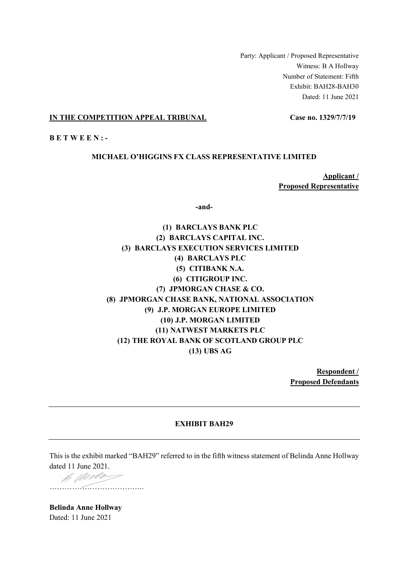Party: Applicant / Proposed Representative Witness: B A Hollway Number of Statement: Fifth Exhibit: BAH28-BAH30 Dated: 11 June 2021

# **IN THE COMPETITION APPEAL TRIBUNAL Case no. 1329/7/7/19**

**B E T W E E N : -** 

# **MICHAEL O'HIGGINS FX CLASS REPRESENTATIVE LIMITED**

**Applicant / Proposed Representative** 

**-and-** 

**(1) BARCLAYS BANK PLC (2) BARCLAYS CAPITAL INC. (3) BARCLAYS EXECUTION SERVICES LIMITED (4) BARCLAYS PLC (5) CITIBANK N.A. (6) CITIGROUP INC. (7) JPMORGAN CHASE & CO. (8) JPMORGAN CHASE BANK, NATIONAL ASSOCIATION (9) J.P. MORGAN EUROPE LIMITED (10) J.P. MORGAN LIMITED (11) NATWEST MARKETS PLC (12) THE ROYAL BANK OF SCOTLAND GROUP PLC (13) UBS AG** 

> **Respondent / Proposed Defendants**

# **EXHIBIT BAH29**

This is the exhibit marked "BAH29" referred to in the fifth witness statement of Belinda Anne Hollway dated 11 June 2021.

B Warlos ………………………………..

**Belinda Anne Hollway**  Dated: 11 June 2021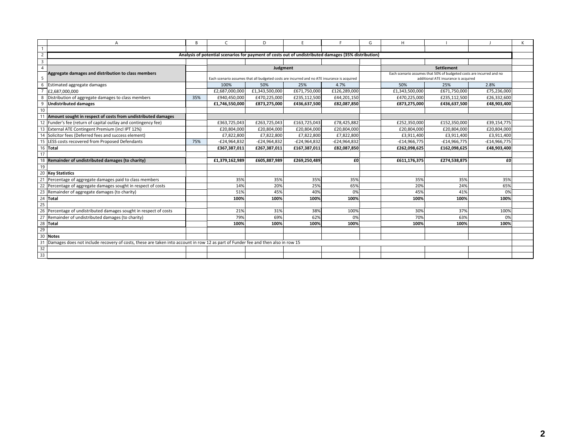|                         | Δ                                                                                                                                | B   | $\mathsf{C}$                                                                                         | D                                                                                           | F              |                | G | H              |                                                                                                              |                |  |
|-------------------------|----------------------------------------------------------------------------------------------------------------------------------|-----|------------------------------------------------------------------------------------------------------|---------------------------------------------------------------------------------------------|----------------|----------------|---|----------------|--------------------------------------------------------------------------------------------------------------|----------------|--|
|                         |                                                                                                                                  |     |                                                                                                      |                                                                                             |                |                |   |                |                                                                                                              |                |  |
| $\overline{2}$          |                                                                                                                                  |     | Analysis of potential scenarios for payment of costs out of undistributed damages (35% distribution) |                                                                                             |                |                |   |                |                                                                                                              |                |  |
| $\overline{\mathbf{3}}$ |                                                                                                                                  |     |                                                                                                      |                                                                                             |                |                |   |                |                                                                                                              |                |  |
| $\overline{4}$          |                                                                                                                                  |     |                                                                                                      | Judgment                                                                                    |                |                |   |                | <b>Settlement</b>                                                                                            |                |  |
| -5                      | Aggregate damages and distribution to class members                                                                              |     |                                                                                                      | Each scenario assumes that all budgeted costs are incurred and no ATE insurance is acquired |                |                |   |                | Each scenario assumes that 50% of budgeted costs are incurred and no<br>additional ATE insurance is acquired |                |  |
| 6                       | Estimated aggregate damages                                                                                                      |     | 100%                                                                                                 | 50%                                                                                         | 25%            | 4.7%           |   | 50%            | 25%                                                                                                          | 2.8%           |  |
| $\overline{7}$          | £2,687,000,000                                                                                                                   |     | £2,687,000,000                                                                                       | £1,343,500,000                                                                              | £671,750,000   | £126.289.000   |   | £1,343,500,000 | £671,750,000                                                                                                 | £75,236,000    |  |
| 8                       | Distribution of aggregate damages to class members                                                                               | 35% | £940,450,000                                                                                         | £470,225,000                                                                                | £235,112,500   | £44,201,150    |   | £470,225,000   | £235,112,500                                                                                                 | £26,332,600    |  |
| 9                       | <b>Undistributed damages</b>                                                                                                     |     | £1,746,550,000                                                                                       | £873,275,000                                                                                | £436,637,500   | £82,087,850    |   | £873,275,000   | £436,637,500                                                                                                 | £48,903,400    |  |
| 10                      |                                                                                                                                  |     |                                                                                                      |                                                                                             |                |                |   |                |                                                                                                              |                |  |
| 11                      | Amount sought in respect of costs from undistributed damages                                                                     |     |                                                                                                      |                                                                                             |                |                |   |                |                                                                                                              |                |  |
|                         | 12 Funder's fee (return of capital outlay and contingency fee)                                                                   |     | £363,725,043                                                                                         | £263,725,043                                                                                | £163,725,043   | £78,425,882    |   | £252,350,000   | £152,350,000                                                                                                 | £39,154,775    |  |
|                         | 13 External ATE Contingent Premium (incl IPT 12%)                                                                                |     | £20,804,000                                                                                          | £20,804,000                                                                                 | £20,804,000    | £20,804,000    |   | £20,804,000    | £20,804,000                                                                                                  | £20,804,000    |  |
|                         | 14 Solicitor fees (Deferred fees and success element)                                                                            |     | £7,822,800                                                                                           | £7,822,800                                                                                  | £7,822,800     | £7,822,800     |   | £3,911,400     | £3,911,400                                                                                                   | £3,911,400     |  |
| 15                      | LESS costs recovered from Proposed Defendants                                                                                    | 75% | -£24,964,832                                                                                         | -£24,964,832                                                                                | $-E24,964,832$ | $-E24,964,832$ |   | $-£14,966,775$ | $-£14,966,775$                                                                                               | $-£14,966,775$ |  |
|                         | 16 Total                                                                                                                         |     | £367,387,011                                                                                         | £267,387,011                                                                                | £167,387,011   | £82,087,850    |   | £262,098,625   | £162,098,625                                                                                                 | £48,903,400    |  |
| 17                      |                                                                                                                                  |     |                                                                                                      |                                                                                             |                |                |   |                |                                                                                                              |                |  |
| $\overline{18}$         | Remainder of undistributed damages (to charity)                                                                                  |     | £1.379.162.989                                                                                       | £605.887.989                                                                                | £269,250,489   | £0             |   | £611,176,375   | £274.538.875                                                                                                 | £0             |  |
| 19                      |                                                                                                                                  |     |                                                                                                      |                                                                                             |                |                |   |                |                                                                                                              |                |  |
|                         | 20 Key Statistics                                                                                                                |     |                                                                                                      |                                                                                             |                |                |   |                |                                                                                                              |                |  |
| 21                      | Percentage of aggregate damages paid to class members                                                                            |     | 35%                                                                                                  | 35%                                                                                         | 35%            | 35%            |   | 35%            | 35%                                                                                                          | 35%            |  |
| 22                      | Percentage of aggregate damages sought in respect of costs                                                                       |     | 14%                                                                                                  | 20%                                                                                         | 25%            | 65%            |   | 20%            | 24%                                                                                                          | 65%            |  |
| 23                      | Remainder of aggregate damages (to charity)                                                                                      |     | 51%                                                                                                  | 45%                                                                                         | 40%            | 0%             |   | 45%            | 41%                                                                                                          | 0%             |  |
| 24                      | Total                                                                                                                            |     | 100%                                                                                                 | 100%                                                                                        | 100%           | 100%           |   | 100%           | 100%                                                                                                         | 100%           |  |
| 25                      |                                                                                                                                  |     |                                                                                                      |                                                                                             |                |                |   |                |                                                                                                              |                |  |
|                         | 26 Percentage of undistributed damages sought in respect of costs                                                                |     | 21%                                                                                                  | 31%                                                                                         | 38%            | 100%           |   | 30%            | 37%                                                                                                          | 100%           |  |
|                         | 27 Remainder of undistributed damages (to charity)                                                                               |     | 79%                                                                                                  | 69%                                                                                         | 62%            | 0%             |   | 70%            | 63%                                                                                                          | 0%             |  |
|                         | 28 Total                                                                                                                         |     | 100%                                                                                                 | 100%                                                                                        | 100%           | 100%           |   | 100%           | 100%                                                                                                         | 100%           |  |
| 29                      |                                                                                                                                  |     |                                                                                                      |                                                                                             |                |                |   |                |                                                                                                              |                |  |
| 30                      | <b>Notes</b>                                                                                                                     |     |                                                                                                      |                                                                                             |                |                |   |                |                                                                                                              |                |  |
| 31                      | Damages does not include recovery of costs, these are taken into account in row 12 as part of Funder fee and then also in row 15 |     |                                                                                                      |                                                                                             |                |                |   |                |                                                                                                              |                |  |
| $\frac{32}{33}$         |                                                                                                                                  |     |                                                                                                      |                                                                                             |                |                |   |                |                                                                                                              |                |  |
|                         |                                                                                                                                  |     |                                                                                                      |                                                                                             |                |                |   |                |                                                                                                              |                |  |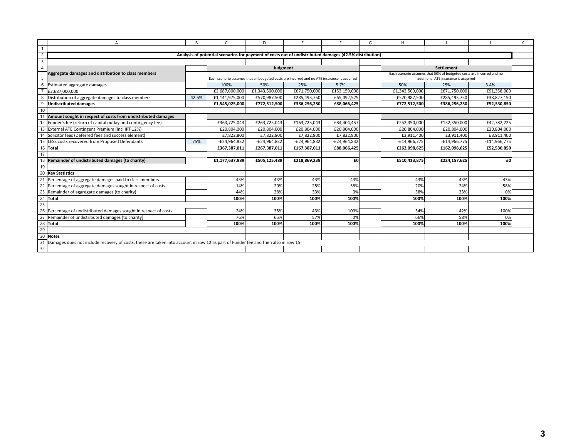| А                                                                                                                                      | R     | $\mathsf{C}$                                                                                           | D              | F              |                | G | H              |                                                                      |                |  |
|----------------------------------------------------------------------------------------------------------------------------------------|-------|--------------------------------------------------------------------------------------------------------|----------------|----------------|----------------|---|----------------|----------------------------------------------------------------------|----------------|--|
| $\overline{1}$                                                                                                                         |       |                                                                                                        |                |                |                |   |                |                                                                      |                |  |
| $\overline{2}$                                                                                                                         |       | Analysis of potential scenarios for payment of costs out of undistributed damages (42.5% distribution) |                |                |                |   |                |                                                                      |                |  |
| $\overline{3}$                                                                                                                         |       |                                                                                                        |                |                |                |   |                |                                                                      |                |  |
| $\overline{4}$                                                                                                                         |       |                                                                                                        | Judgment       |                |                |   |                | <b>Settlement</b>                                                    |                |  |
| Aggregate damages and distribution to class members                                                                                    |       |                                                                                                        |                |                |                |   |                | Each scenario assumes that 50% of budgeted costs are incurred and no |                |  |
| 5                                                                                                                                      |       | Each scenario assumes that all budgeted costs are incurred and no ATE insurance is acquired            |                |                |                |   |                | additional ATE insurance is acquired                                 |                |  |
| 6<br>Estimated aggregate damages                                                                                                       |       | 100%                                                                                                   | 50%            | 25%            | 5.7%           |   | 50%            | 25%                                                                  | 3.4%           |  |
| $\overline{7}$<br>£2.687.000.000                                                                                                       |       | £2,687,000,000                                                                                         | £1,343,500,000 | £671,750,000   | £153,159,000   |   | £1,343,500,000 | £671,750,000                                                         | £91,358,000    |  |
| 8<br>Distribution of aggregate damages to class members                                                                                | 42.5% | £1,141,975,000                                                                                         | £570,987,500   | £285,493,750   | £65.092.575    |   | £570,987,500   | £285,493,750                                                         | £38.827.150    |  |
| 9<br><b>Undistributed damages</b>                                                                                                      |       | £1,545,025,000                                                                                         | £772,512,500   | £386,256,250   | £88,066,425    |   | £772,512,500   | £386,256,250                                                         | £52,530,850    |  |
| 10                                                                                                                                     |       |                                                                                                        |                |                |                |   |                |                                                                      |                |  |
| 11<br>Amount sought in respect of costs from undistributed damages                                                                     |       |                                                                                                        |                |                |                |   |                |                                                                      |                |  |
| 12 Funder's fee (return of capital outlay and contingency fee)                                                                         |       | £363,725,043                                                                                           | £263,725,043   | £163,725,043   | £84,404,457    |   | £252.350.000   | £152,350,000                                                         | £42,782,225    |  |
| 13 External ATE Contingent Premium (incl IPT 12%)                                                                                      |       | £20,804,000                                                                                            | £20,804,000    | £20,804,000    | £20,804,000    |   | £20,804,000    | £20,804,000                                                          | £20,804,000    |  |
| 14 Solicitor fees (Deferred fees and success element)                                                                                  |       | £7,822,800                                                                                             | £7,822,800     | £7,822,800     | £7,822,800     |   | £3,911,400     | £3,911,400                                                           | £3,911,400     |  |
| 15<br>LESS costs recovered from Proposed Defendants                                                                                    | 75%   | -£24,964,832                                                                                           | $-E24,964,832$ | $-E24,964,832$ | $-E24,964,832$ |   | $-£14,966,775$ | $-£14,966,775$                                                       | $-£14,966,775$ |  |
| 16 Total                                                                                                                               |       | £367,387,011                                                                                           | £267,387,011   | £167,387,011   | £88,066,425    |   | £262,098,625   | £162,098,625                                                         | £52.530.850    |  |
| 17                                                                                                                                     |       |                                                                                                        |                |                |                |   |                |                                                                      |                |  |
| 18<br>Remainder of undistributed damages (to charity)                                                                                  |       | £1,177,637,989                                                                                         | £505,125,489   | £218,869,239   | £0             |   | £510,413,875   | £224,157,625                                                         | £O             |  |
| 19                                                                                                                                     |       |                                                                                                        |                |                |                |   |                |                                                                      |                |  |
| 20<br><b>Key Statistics</b>                                                                                                            |       |                                                                                                        |                |                |                |   |                |                                                                      |                |  |
| 21<br>Percentage of aggregate damages paid to class members                                                                            |       | 43%                                                                                                    | 43%            | 43%            | 43%            |   | 43%            | 43%                                                                  | 43%            |  |
| 22<br>Percentage of aggregate damages sought in respect of costs                                                                       |       | 14%                                                                                                    | 20%            | 25%            | 58%            |   | 20%            | 24%                                                                  | 58%            |  |
| 23<br>Remainder of aggregate damages (to charity)                                                                                      |       | 44%                                                                                                    | 38%            | 33%            | 0%             |   | 38%            | 33%                                                                  | 0%             |  |
| 24<br>Total                                                                                                                            |       | 100%                                                                                                   | 100%           | 100%           | 100%           |   | 100%           | 100%                                                                 | 100%           |  |
| 25                                                                                                                                     |       |                                                                                                        |                |                |                |   |                |                                                                      |                |  |
| 26<br>Percentage of undistributed damages sought in respect of costs                                                                   |       | 24%                                                                                                    | 35%            | 43%            | 100%           |   | 34%            | 42%                                                                  | 100%           |  |
| 27<br>Remainder of undistributed damages (to charity)                                                                                  |       | 76%                                                                                                    | 65%            | 57%            | 0%             |   | 66%            | 58%                                                                  | 0%             |  |
| 28 Total                                                                                                                               |       | 100%                                                                                                   | 100%           | 100%           | 100%           |   | 100%           | 100%                                                                 | 100%           |  |
| 29                                                                                                                                     |       |                                                                                                        |                |                |                |   |                |                                                                      |                |  |
| 30<br><b>Notes</b>                                                                                                                     |       |                                                                                                        |                |                |                |   |                |                                                                      |                |  |
| 31<br>Damages does not include recovery of costs, these are taken into account in row 12 as part of Funder fee and then also in row 15 |       |                                                                                                        |                |                |                |   |                |                                                                      |                |  |
| 32                                                                                                                                     |       |                                                                                                        |                |                |                |   |                |                                                                      |                |  |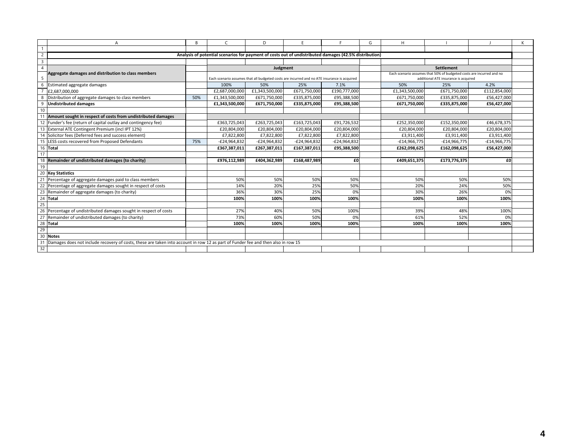| А                                                                                                                                      | R   | $\mathsf{C}$                                                                                           | D              | F              |                | G | H              |                                                                      |                |  |
|----------------------------------------------------------------------------------------------------------------------------------------|-----|--------------------------------------------------------------------------------------------------------|----------------|----------------|----------------|---|----------------|----------------------------------------------------------------------|----------------|--|
| $\overline{1}$                                                                                                                         |     |                                                                                                        |                |                |                |   |                |                                                                      |                |  |
| $\overline{2}$                                                                                                                         |     | Analysis of potential scenarios for payment of costs out of undistributed damages (42.5% distribution) |                |                |                |   |                |                                                                      |                |  |
| $\overline{3}$                                                                                                                         |     |                                                                                                        |                |                |                |   |                |                                                                      |                |  |
| $\overline{4}$                                                                                                                         |     |                                                                                                        | Judgment       |                |                |   |                | <b>Settlement</b>                                                    |                |  |
| Aggregate damages and distribution to class members                                                                                    |     |                                                                                                        |                |                |                |   |                | Each scenario assumes that 50% of budgeted costs are incurred and no |                |  |
| 5                                                                                                                                      |     | Each scenario assumes that all budgeted costs are incurred and no ATE insurance is acquired            |                |                |                |   |                | additional ATE insurance is acquired                                 |                |  |
| 6<br>Estimated aggregate damages                                                                                                       |     | 100%                                                                                                   | 50%            | 25%            | 7.1%           |   | 50%            | 25%                                                                  | 4.2%           |  |
| $\overline{7}$<br>£2.687.000.000                                                                                                       |     | £2,687,000,000                                                                                         | £1,343,500,000 | £671,750,000   | £190,777,000   |   | £1,343,500,000 | £671,750,000                                                         | £112,854,000   |  |
| 8<br>Distribution of aggregate damages to class members                                                                                | 50% | £1,343,500,000                                                                                         | £671,750,000   | £335,875,000   | £95.388.500    |   | £671,750,000   | £335,875,000                                                         | £56.427.000    |  |
| 9<br><b>Undistributed damages</b>                                                                                                      |     | £1,343,500,000                                                                                         | £671,750,000   | £335,875,000   | £95,388,500    |   | £671,750,000   | £335,875,000                                                         | £56,427,000    |  |
| 10                                                                                                                                     |     |                                                                                                        |                |                |                |   |                |                                                                      |                |  |
| Amount sought in respect of costs from undistributed damages<br>11                                                                     |     |                                                                                                        |                |                |                |   |                |                                                                      |                |  |
| 12 Funder's fee (return of capital outlay and contingency fee)                                                                         |     | £363,725,043                                                                                           | £263,725,043   | £163,725,043   | £91,726,532    |   | £252.350.000   | £152,350,000                                                         | £46,678,375    |  |
| 13 External ATE Contingent Premium (incl IPT 12%)                                                                                      |     | £20,804,000                                                                                            | £20,804,000    | £20,804,000    | £20,804,000    |   | £20,804,000    | £20,804,000                                                          | £20,804,000    |  |
| 14 Solicitor fees (Deferred fees and success element)                                                                                  |     | £7,822,800                                                                                             | £7,822,800     | £7,822,800     | £7,822,800     |   | £3,911,400     | £3,911,400                                                           | £3,911,400     |  |
| 15<br>LESS costs recovered from Proposed Defendants                                                                                    | 75% | -£24,964,832                                                                                           | $-E24,964,832$ | $-E24,964,832$ | $-E24,964,832$ |   | $-£14,966,775$ | $-£14,966,775$                                                       | $-£14,966,775$ |  |
| 16 Total                                                                                                                               |     | £367,387,011                                                                                           | £267,387,011   | £167,387,011   | £95,388,500    |   | £262,098,625   | £162,098,625                                                         | £56,427,000    |  |
| 17                                                                                                                                     |     |                                                                                                        |                |                |                |   |                |                                                                      |                |  |
| 18<br>Remainder of undistributed damages (to charity)                                                                                  |     | £976,112,989                                                                                           | £404,362,989   | £168,487,989   | £0             |   | £409,651,375   | £173,776,375                                                         | £O             |  |
| 19                                                                                                                                     |     |                                                                                                        |                |                |                |   |                |                                                                      |                |  |
| 20<br><b>Key Statistics</b>                                                                                                            |     |                                                                                                        |                |                |                |   |                |                                                                      |                |  |
| 21<br>Percentage of aggregate damages paid to class members                                                                            |     | 50%                                                                                                    | 50%            | 50%            | 50%            |   | 50%            | 50%                                                                  | 50%            |  |
| 22<br>Percentage of aggregate damages sought in respect of costs                                                                       |     | 14%                                                                                                    | 20%            | 25%            | 50%            |   | 20%            | 24%                                                                  | 50%            |  |
| 23<br>Remainder of aggregate damages (to charity)                                                                                      |     | 36%                                                                                                    | 30%            | 25%            | 0%             |   | 30%            | 26%                                                                  | 0%             |  |
| 24<br>Total                                                                                                                            |     | 100%                                                                                                   | 100%           | 100%           | 100%           |   | 100%           | 100%                                                                 | 100%           |  |
| 25                                                                                                                                     |     |                                                                                                        |                |                |                |   |                |                                                                      |                |  |
| 26<br>Percentage of undistributed damages sought in respect of costs                                                                   |     | 27%                                                                                                    | 40%            | 50%            | 100%           |   | 39%            | 48%                                                                  | 100%           |  |
| 27<br>Remainder of undistributed damages (to charity)                                                                                  |     | 73%                                                                                                    | 60%            | 50%            | 0%             |   | 61%            | 52%                                                                  | 0%             |  |
| 28 Total                                                                                                                               |     | 100%                                                                                                   | 100%           | 100%           | 100%           |   | 100%           | 100%                                                                 | 100%           |  |
| 29                                                                                                                                     |     |                                                                                                        |                |                |                |   |                |                                                                      |                |  |
| 30<br><b>Notes</b>                                                                                                                     |     |                                                                                                        |                |                |                |   |                |                                                                      |                |  |
| 31<br>Damages does not include recovery of costs, these are taken into account in row 12 as part of Funder fee and then also in row 15 |     |                                                                                                        |                |                |                |   |                |                                                                      |                |  |
| 32                                                                                                                                     |     |                                                                                                        |                |                |                |   |                |                                                                      |                |  |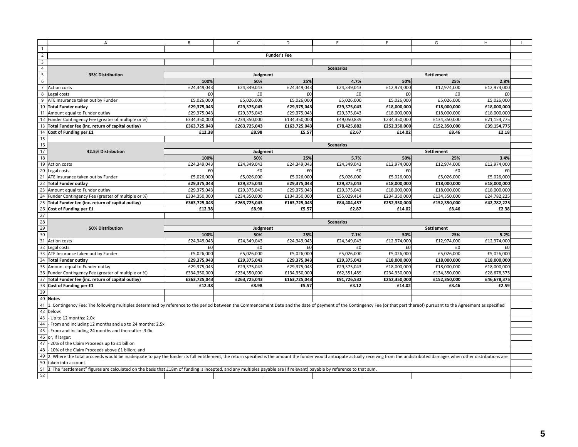|                         | A                                                                                                                                                                                                                              | B            | $\mathsf{C}$     | D                   | E                | F.           | G                 | H           |  |  |  |  |
|-------------------------|--------------------------------------------------------------------------------------------------------------------------------------------------------------------------------------------------------------------------------|--------------|------------------|---------------------|------------------|--------------|-------------------|-------------|--|--|--|--|
| $\mathbf{1}$            |                                                                                                                                                                                                                                |              |                  |                     |                  |              |                   |             |  |  |  |  |
| $\overline{2}$          |                                                                                                                                                                                                                                |              |                  | <b>Funder's Fee</b> |                  |              |                   |             |  |  |  |  |
| $\overline{\mathbf{3}}$ |                                                                                                                                                                                                                                |              |                  |                     |                  |              |                   |             |  |  |  |  |
| $\overline{4}$          |                                                                                                                                                                                                                                |              |                  |                     | <b>Scenarios</b> |              |                   |             |  |  |  |  |
| $\overline{5}$          | 35% Distribution                                                                                                                                                                                                               |              | Judgment         |                     |                  |              | Settlement        |             |  |  |  |  |
| 6                       |                                                                                                                                                                                                                                | 100%         | 50%              | 25%                 | 4.7%             | 50%          | 25%               | 2.8%        |  |  |  |  |
| 7 <sup>1</sup>          | Action costs                                                                                                                                                                                                                   | £24,349,043  | £24,349,043      | £24,349,043         | £24,349,043      | £12,974,000  | £12,974,000       | £12,974,000 |  |  |  |  |
| 8                       | Legal costs                                                                                                                                                                                                                    | £0           | £0               | £0                  | £0               | £0           | £0                | £0          |  |  |  |  |
| 9                       | ATE Insurance taken out by Funder                                                                                                                                                                                              | £5,026,000   | £5,026,000       | £5,026,000          | £5,026,000       | £5,026,000   | £5,026,000        | £5,026,000  |  |  |  |  |
|                         | 10 Total Funder outlay                                                                                                                                                                                                         | £29,375,043  | £29,375,043      | £29,375,043         | £29,375,043      | £18,000,000  | £18,000,000       | £18,000,000 |  |  |  |  |
|                         | 11 Amount equal to Funder outlay                                                                                                                                                                                               | £29,375,043  | £29,375,043      | £29,375,043         | £29,375,043      | £18,000,000  | £18,000,000       | £18,000,000 |  |  |  |  |
|                         | 12 Funder Contingency Fee (greater of multiple or %)                                                                                                                                                                           | £334,350,000 | £234,350,000     | £134,350,000        | £49,050,839      | £234,350,000 | £134,350,000      | £21,154,775 |  |  |  |  |
|                         | 13 Total Funder fee (inc. return of capital outlay)                                                                                                                                                                            | £363,725,043 | £263,725,043     | £163,725,043        | £78,425,882      | £252,350,000 | £152,350,000      | £39,154,775 |  |  |  |  |
|                         | 14 Cost of Funding per £1                                                                                                                                                                                                      | £12.38       | £8.98            | £5.57               | £2.67            | £14.02       | £8.46             | £2.18       |  |  |  |  |
| 15                      |                                                                                                                                                                                                                                |              |                  |                     |                  |              |                   |             |  |  |  |  |
| 16                      |                                                                                                                                                                                                                                |              |                  |                     | <b>Scenarios</b> |              |                   |             |  |  |  |  |
| 17                      | 42.5% Distribution                                                                                                                                                                                                             |              | Judgment         |                     |                  |              | Settlement        |             |  |  |  |  |
| 18                      |                                                                                                                                                                                                                                | 100%         | 50%              | 25%                 | 5.7%             | 50%          | 25%               | 3.4%        |  |  |  |  |
|                         | 19 Action costs                                                                                                                                                                                                                | £24,349,043  | £24,349,043      | £24,349,043         | £24,349,043      | £12,974,000  | £12,974,000       | £12,974,000 |  |  |  |  |
|                         | 20 Legal costs                                                                                                                                                                                                                 | £0           | £0               | £0                  | £0               | £0           | £0                | £0          |  |  |  |  |
|                         | 21 ATE Insurance taken out by Funder                                                                                                                                                                                           | £5,026,000   | £5,026,000       | £5,026,000          | £5,026,000       | £5,026,000   | £5,026,000        | £5,026,000  |  |  |  |  |
|                         | 22 Total Funder outlay                                                                                                                                                                                                         | £29,375,043  | £29,375,043      | £29,375,043         | £29,375,043      | £18,000,000  | £18,000,000       | £18,000,000 |  |  |  |  |
|                         | 23 Amount equal to Funder outlay                                                                                                                                                                                               | £29,375,043  | £29,375,043      | £29,375,043         | £29,375,043      | £18,000,000  | £18,000,000       | £18,000,000 |  |  |  |  |
|                         | 24 Funder Contingency Fee (greater of multiple or %)                                                                                                                                                                           | £334,350,000 | £234,350,000     | £134,350,000        | £55,029,414      | £234,350,000 | £134,350,000      | £24,782,225 |  |  |  |  |
|                         | 25 Total Funder fee (inc. return of capital outlay)                                                                                                                                                                            | £363,725,043 | £263,725,043     | £163,725,043        | £84,404,457      | £252,350,000 | £152,350,000      | £42,782,225 |  |  |  |  |
|                         | 26 Cost of Funding per £1                                                                                                                                                                                                      | £12.38       | £8.98            | £5.57               | £2.87            | £14.02       | £8.46             | £2.38       |  |  |  |  |
| 27                      |                                                                                                                                                                                                                                |              |                  |                     |                  |              |                   |             |  |  |  |  |
|                         |                                                                                                                                                                                                                                |              | <b>Scenarios</b> |                     |                  |              |                   |             |  |  |  |  |
| 28                      |                                                                                                                                                                                                                                |              |                  |                     |                  |              |                   |             |  |  |  |  |
| 29                      | 50% Distribution                                                                                                                                                                                                               |              | Judgment         |                     |                  |              | <b>Settlement</b> |             |  |  |  |  |
| 30                      |                                                                                                                                                                                                                                | 100%         | 50%              | 25%                 | 7.1%             | 50%          | 25%               | 5.2%        |  |  |  |  |
|                         | 31 Action costs                                                                                                                                                                                                                | £24,349,043  | £24,349,043      | £24,349,043         | £24,349,043      | £12,974,000  | £12,974,000       | £12,974,000 |  |  |  |  |
|                         | 32 Legal costs                                                                                                                                                                                                                 | £0           | £0               | £0                  | £0               | £0           | £0                | £0          |  |  |  |  |
|                         | 33 ATE Insurance taken out by Funder                                                                                                                                                                                           | £5,026,000   | £5,026,000       | £5,026,000          | £5,026,000       | £5,026,000   | £5,026,000        | £5,026,000  |  |  |  |  |
|                         | 34 Total Funder outlay                                                                                                                                                                                                         | £29,375,043  | £29,375,043      | £29,375,043         | £29,375,043      | £18,000,000  | £18,000,000       | £18,000,000 |  |  |  |  |
|                         | 35 Amount equal to Funder outlay                                                                                                                                                                                               | £29,375,043  | £29,375,043      | £29,375,043         | £29,375,043      | £18,000,000  | £18,000,000       | £18,000,000 |  |  |  |  |
|                         | 36 Funder Contingency Fee (greater of multiple or %)                                                                                                                                                                           | £334,350,000 | £234,350,000     | £134,350,000        | £62,351,489      | £234,350,000 | £134,350,000      | £28,678,375 |  |  |  |  |
|                         | 37 Total Funder fee (inc. return of capital outlay)                                                                                                                                                                            | £363,725,043 | £263,725,043     | £163,725,043        | £91,726,532      | £252,350,000 | £152,350,000      | £46,678,375 |  |  |  |  |
|                         | 38 Cost of Funding per £1                                                                                                                                                                                                      | £12.38       | £8.98            | £5.57               | £3.12            | £14.02       | £8.46             | £2.59       |  |  |  |  |
| 39                      |                                                                                                                                                                                                                                |              |                  |                     |                  |              |                   |             |  |  |  |  |
|                         | 40 Notes                                                                                                                                                                                                                       |              |                  |                     |                  |              |                   |             |  |  |  |  |
|                         | 41 [1. Contingency Fee: The following multiples determined by reference to the period between the Commencement Date and the date of payment of the Contingency Fee (or that part thereof) pursuant to the Agreement as specifi |              |                  |                     |                  |              |                   |             |  |  |  |  |
|                         | 42 below:                                                                                                                                                                                                                      |              |                  |                     |                  |              |                   |             |  |  |  |  |
|                         | 43 - Up to 12 months: 2.0x                                                                                                                                                                                                     |              |                  |                     |                  |              |                   |             |  |  |  |  |
| 44                      | - From and including 12 months and up to 24 months: 2.5x                                                                                                                                                                       |              |                  |                     |                  |              |                   |             |  |  |  |  |
| 45                      | - From and including 24 months and thereafter: 3.0x                                                                                                                                                                            |              |                  |                     |                  |              |                   |             |  |  |  |  |
|                         | 46 or, if larger:                                                                                                                                                                                                              |              |                  |                     |                  |              |                   |             |  |  |  |  |
|                         | 47 - 20% of the Claim Proceeds up to £1 billion                                                                                                                                                                                |              |                  |                     |                  |              |                   |             |  |  |  |  |
|                         | 48 - 10% of the Claim Proceeds above £1 bilion; and                                                                                                                                                                            |              |                  |                     |                  |              |                   |             |  |  |  |  |
|                         | 49 2. Where the total proceeds would be inadequate to pay the funder its full entitlement, the return specified is the amount the funder would anticipate actually receiving from the undistributed damages when other distrib |              |                  |                     |                  |              |                   |             |  |  |  |  |
|                         | 50 taken into account.                                                                                                                                                                                                         |              |                  |                     |                  |              |                   |             |  |  |  |  |
| 52                      | 51 3. The "settlement" figures are calculated on the basis that £18m of funding is incepted, and any multiples payable are (if relevant) payable by reference to that sum.                                                     |              |                  |                     |                  |              |                   |             |  |  |  |  |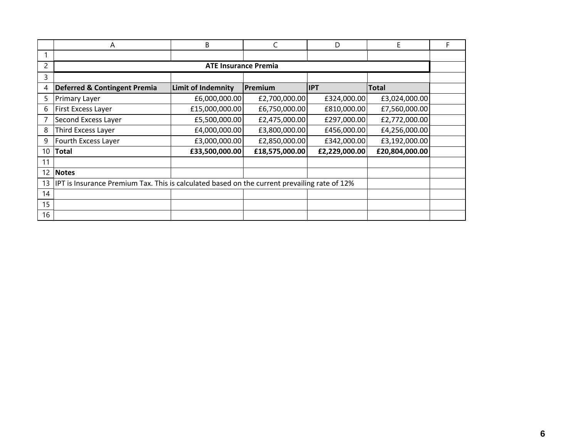|    | A                                                                                            | B                           | C              | D             |                | F |
|----|----------------------------------------------------------------------------------------------|-----------------------------|----------------|---------------|----------------|---|
|    |                                                                                              |                             |                |               |                |   |
| 2  |                                                                                              | <b>ATE Insurance Premia</b> |                |               |                |   |
| 3  |                                                                                              |                             |                |               |                |   |
| 4  | <b>Deferred &amp; Contingent Premia</b>                                                      | <b>Limit of Indemnity</b>   | Premium        | <b>IPT</b>    | <b>Total</b>   |   |
| 5  | <b>Primary Layer</b>                                                                         | £6,000,000.00               | £2,700,000.00  | £324,000.00   | £3,024,000.00  |   |
| 6  | <b>First Excess Layer</b>                                                                    | £15,000,000.00              | £6,750,000.00  | £810,000.00   | £7,560,000.00  |   |
|    | Second Excess Layer                                                                          | £5,500,000.00               | £2,475,000.00  | £297,000.00   | £2,772,000.00  |   |
| 8  | Third Excess Layer                                                                           | £4,000,000.00               | £3,800,000.00  | £456,000.00   | £4,256,000.00  |   |
| 9  | Fourth Excess Layer                                                                          | £3,000,000.00               | £2,850,000.00  | £342,000.00   | £3,192,000.00  |   |
| 10 | Total                                                                                        | £33,500,000.00              | £18,575,000.00 | £2,229,000.00 | £20,804,000.00 |   |
| 11 |                                                                                              |                             |                |               |                |   |
| 12 | <b>Notes</b>                                                                                 |                             |                |               |                |   |
| 13 | IPT is Insurance Premium Tax. This is calculated based on the current prevailing rate of 12% |                             |                |               |                |   |
| 14 |                                                                                              |                             |                |               |                |   |
| 15 |                                                                                              |                             |                |               |                |   |
| 16 |                                                                                              |                             |                |               |                |   |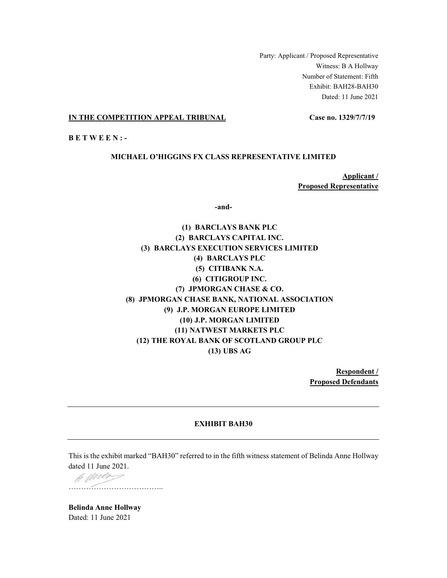Party: Applicant / Proposed Representative Witness: B A Hollway Number of Statement: Fifth Exhibit: BAH28-BAH30 Dated: 11 June 2021

### **IN THE COMPETITION APPEAL TRIBUNAL Case no. 1329/7/7/19**

**BETWEEN:-**

### **MICHAEL O'HIGGINS FX CLASS REPRESENTATIVE LIMITED**

**Applicant**/ **Proposed Representative** 

-and-

**(1) BARCLAYS BANK PLC (2) BARCLAYS CAPITAL INC. (3) BARCLAYS EXECUTION SERVICES LIMITED (4) BARCLAYS PLC (5) CITIBANK N.A. (6) CITIGROUP INC. (7) JPMORGAN CHASE & CO. (8) JPMORGAN CHASE BANK, NATIONAL ASSOCIATION (9) J.P. MORGAN EUROPE LIMITED (10) J.P. MORGAN LIMITED (11) NATWEST MARKETS PLC (12) THE ROYAL BANK OF SCOTLAND GROUP PLC (13) UBS AG** 

> **Respondent** / **Proposed Defendants**

#### **EXHIBIT BAH30**

This is the exhibit marked "BAH30" referred to in the fifth witness statement of Belinda Anne Hollway dated 11 June 2021.

B Werder ««««««««««««

**Belinda Anne Hollway** Dated: 11 June 2021